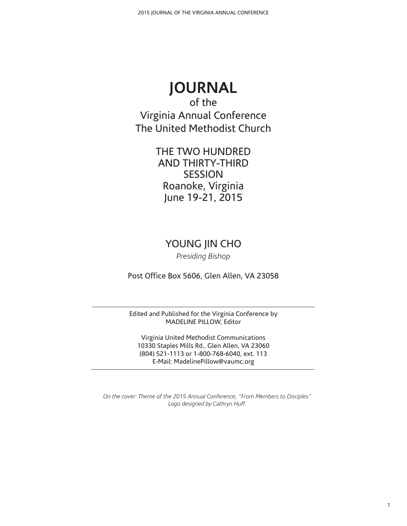# **JOURNAL**

of the Virginia Annual Conference The United Methodist Church

> THE TWO HUNDRED AND THIRTY-THIRD SESSION Roanoke, Virginia June 19-21, 2015

## YOUNG JIN CHO

*Presiding Bishop*

Post Office Box 5606, Glen Allen, VA 23058

Edited and Published for the Virginia Conference by MADELINE PILLOW, Editor

Virginia United Methodist Communications 10330 Staples Mills Rd., Glen Allen, VA 23060 (804) 521-1113 or 1-800-768-6040, ext. 113 E-Mail: MadelinePillow@vaumc.org

*On the cover: Theme of the 2015 Annual Conference, "From Members to Disciples" Logo designed by Cathryn Huff.*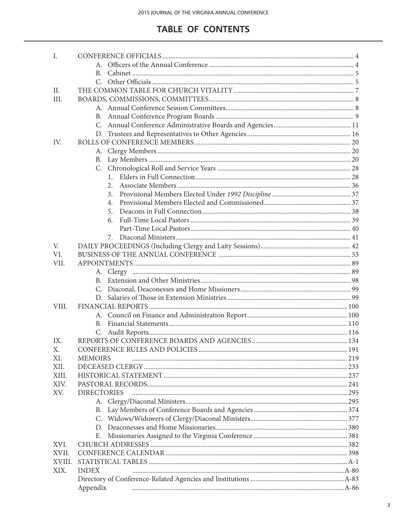## **TABLE OF CONTENTS**

| I.     |                    |  |
|--------|--------------------|--|
|        |                    |  |
|        | B.                 |  |
|        |                    |  |
| II.    |                    |  |
| III.   |                    |  |
|        |                    |  |
|        | B.                 |  |
|        |                    |  |
|        |                    |  |
| IV.    |                    |  |
|        |                    |  |
|        |                    |  |
|        | В.                 |  |
|        |                    |  |
|        | $1_{-}$            |  |
|        | 2.                 |  |
|        | 3.                 |  |
|        | 4.                 |  |
|        | 5.                 |  |
|        | 6.                 |  |
|        |                    |  |
|        | 7.                 |  |
| V.     |                    |  |
| VI.    |                    |  |
| VII.   |                    |  |
|        |                    |  |
|        |                    |  |
|        |                    |  |
|        |                    |  |
| VIII.  |                    |  |
|        |                    |  |
|        | B.                 |  |
|        |                    |  |
| IX.    |                    |  |
| Х.     |                    |  |
| XI.    | <b>MEMOIRS</b>     |  |
| XII.   |                    |  |
| XIII.  |                    |  |
| XIV.   |                    |  |
| XV.    | <b>DIRECTORIES</b> |  |
|        |                    |  |
|        | В.                 |  |
|        | C.                 |  |
|        |                    |  |
|        |                    |  |
|        | Е.                 |  |
| XVI.   |                    |  |
| XVII.  |                    |  |
| XVIII. |                    |  |
| XIX.   | <b>INDEX</b>       |  |
|        |                    |  |
|        | Appendix           |  |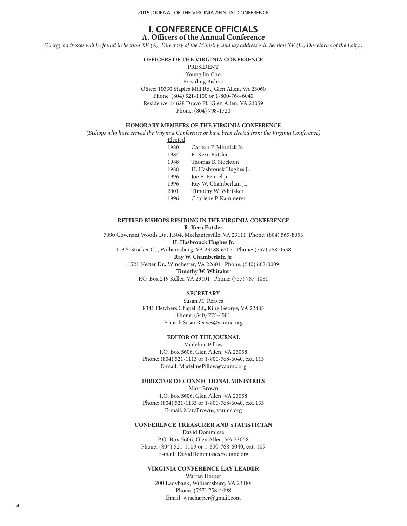2015 JOURNAL OF THE VIRGINIA ANNUAL CONFERENCE

## **I. CONFERENCE OFFICIALS A. Officers of the Annual Conference**

*(Clergy addresses will be found in Section XV (A), Directory of the Ministry, and lay addresses in Section XV (B), Directories of the Laity.)*

**OFFICERS OF THE VIRGINIA CONFERENCE**

PRESIDENT Young Jin Cho Presiding Bishop Office: 10330 Staples Mill Rd., Glen Allen, VA 23060 Phone: (804) 521-1100 or 1-800-768-6040 Residence: 14628 Dravo Pl., Glen Allen, VA 23059 Phone: (804) 798-1720

## **HONORARY MEMBERS OF THE VIRGINIA CONFERENCE**

*(Bishops who have served the Virginia Conference or have been elected from the Virginia Conference)*

Elected

- 1980 Carlton P. Minnick Jr.
- 1984 R. Kern Eutsler
- 1988 Thomas B. Stockton
- 1988 H. Hasbrouck Hughes Jr.
- 1996 Joe E. Pennel Jr.
- 1996 Ray W. Chamberlain Jr.
- 2001 Timothy W. Whitaker
- 1996 Charlene P. Kammerer

## **RETIRED BISHOPS RESIDING IN THE VIRGINIA CONFERENCE**

#### **R. Kern Eutsler**

7090 Covenant Woods Dr., F.304, Mechanicsville, VA 23111 Phone: (804) 569-8053 **H. Hasbrouck Hughes Jr.**

113 S. Stocker Ct., Williamsburg, VA 23188-6307 Phone: (757) 258-0538

### **Ray W. Chamberlain Jr.**

1521 Nester Dr., Winchester, VA 22601 Phone: (540) 662-0009 **Timothy W. Whitaker**

P.O. Box 219 Keller, VA 23401 Phone: (757) 787-1081

#### **SECRETARY**

Susan M. Reaves 8341 Fletchers Chapel Rd., King George, VA 22485 Phone: (540) 775-4501 E-mail: SusanReaves@vaumc.org

#### **EDITOR OF THE JOURNAL**

Madeline Pillow P.O. Box 5606, Glen Allen, VA 23058 Phone: (804) 521-1113 or 1-800-768-6040, ext. 113 E-mail: MadelinePillow@vaumc.org

#### **DIRECTOR OF CONNECTIONAL MINISTRIES**

Marc Brown P.O. Box 5606, Glen Allen, VA 23058 Phone: (804) 521-1133 or 1-800-768-6040, ext. 133 E-mail: MarcBrown@vaumc.org

#### **CONFERENCE TREASURER AND STATISTICIAN**

David Dommisse P.O. Box 5606, Glen Allen, VA 23058 Phone: (804) 521-1109 or 1-800-768-6040, ext. 109 E-mail: DavidDommisse@vaumc.org

#### **VIRGINIA CONFERENCE LAY LEADER**

Warren Harper 200 Ladybank, Williamsburg, VA 23188 Phone: (757) 258-4498 Email: wrscharper@gmail.com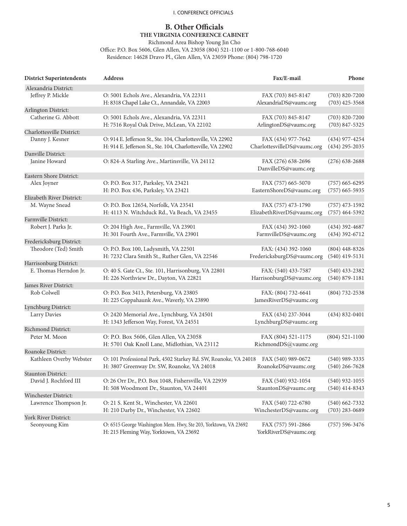### I. CONFERENCE OFFICIALS

## **B. Other Officials THE VIRGINIA CONFERENCE CABINET**

Richmond Area Bishop Young Jin Cho

Office: P.O. Box 5606, Glen Allen, VA 23058 (804) 521-1100 or 1-800-768-6040 Residence: 14628 Dravo Pl., Glen Allen, VA 23059 Phone: (804) 798-1720

| <b>District Superintendents</b> | <b>Address</b>                                                                                                               | Fax/E-mail                                        | Phone                                    |
|---------------------------------|------------------------------------------------------------------------------------------------------------------------------|---------------------------------------------------|------------------------------------------|
| Alexandria District:            |                                                                                                                              |                                                   |                                          |
| Jeffrey P. Mickle               | O: 5001 Echols Ave., Alexandria, VA 22311<br>H: 8318 Chapel Lake Ct., Annandale, VA 22003                                    | FAX (703) 845-8147<br>AlexandriaDS@vaumc.org      | $(703) 820 - 7200$<br>$(703)$ 425-3568   |
| Arlington District:             |                                                                                                                              |                                                   |                                          |
| Catherine G. Abbott             | O: 5001 Echols Ave., Alexandria, VA 22311<br>H: 7516 Royal Oak Drive, McLean, VA 22102                                       | FAX (703) 845-8147<br>ArlingtonDS@vaumc.org       | $(703) 820 - 7200$<br>$(703) 847 - 5325$ |
| Charlottesville District:       |                                                                                                                              |                                                   |                                          |
| Danny J. Kesner                 | O: 914 E. Jefferson St., Ste. 104, Charlottesville, VA 22902<br>H: 914 E. Jefferson St., Ste. 104, Charlottesville, VA 22902 | FAX (434) 977-7642<br>CharlottesvilleDS@vaumc.org | $(434)$ 977-4254<br>$(434)$ 295-2035     |
| Danville District:              |                                                                                                                              |                                                   |                                          |
| Janine Howard                   | O: 824-A Starling Ave., Martinsville, VA 24112                                                                               | FAX (276) 638-2696<br>DanvilleDS@vaumc.org        | $(276)$ 638-2688                         |
| Eastern Shore District:         |                                                                                                                              |                                                   |                                          |
| Alex Joyner                     | O: P.O. Box 317, Parksley, VA 23421<br>H: P.O. Box 436, Parksley, VA 23421                                                   | FAX (757) 665-5070<br>EasternShoreDS@vaumc.org    | $(757)$ 665-6295<br>$(757)$ 665-5935     |
| Elizabeth River District:       |                                                                                                                              |                                                   |                                          |
| M. Wayne Snead                  | O: P.O. Box 12654, Norfolk, VA 23541<br>H: 4113 N. Witchduck Rd., Va Beach, VA 23455                                         | FAX (757) 473-1790<br>ElizabethRiverDS@vaumc.org  | $(757)$ 473-1592<br>$(757)$ 464-5392     |
| Farmville District:             |                                                                                                                              |                                                   |                                          |
| Robert J. Parks Jr.             | O: 204 High Ave., Farmville, VA 23901<br>H: 301 Fourth Ave., Farmville, VA 23901                                             | FAX (434) 392-1060<br>FarmvilleDS@vaumc.org       | $(434)$ 392-4687<br>$(434)$ 392-6712     |
| Fredericksburg District:        |                                                                                                                              |                                                   |                                          |
| Theodore (Ted) Smith            | O: P.O. Box 100, Ladysmith, VA 22501<br>H: 7232 Clara Smith St., Ruther Glen, VA 22546                                       | FAX: (434) 392-1060<br>FredericksburgDS@vaumc.org | $(804)$ 448-8326<br>$(540)$ 419-5131     |
| Harrisonburg District:          |                                                                                                                              |                                                   |                                          |
| E. Thomas Herndon Jr.           | O: 40 S. Gate Ct., Ste. 101, Harrisonburg, VA 22801<br>H: 226 Northview Dr., Dayton, VA 22821                                | FAX: (540) 433-7587<br>HarrisonburgDS@vaumc.org   | $(540)$ 433-2382<br>$(540) 879 - 1181$   |
| James River District:           |                                                                                                                              |                                                   |                                          |
| Rob Colwell                     | O: P.O. Box 3413, Petersburg, VA 23805<br>H: 225 Coppahaunk Ave., Waverly, VA 23890                                          | FAX: (804) 732-6641<br>JamesRiverDS@vaumc.org     | (804) 732-2538                           |
| Lynchburg District:             |                                                                                                                              |                                                   |                                          |
| Larry Davies                    | O: 2420 Memorial Ave., Lynchburg, VA 24501<br>H: 1343 Jefferson Way, Forest, VA 24551                                        | FAX (434) 237-3044<br>LynchburgDS@vaumc.org       | $(434) 832 - 0401$                       |
| Richmond District:              |                                                                                                                              |                                                   |                                          |
| Peter M. Moon                   | O: P.O. Box 5606, Glen Allen, VA 23058<br>H: 5701 Oak Knoll Lane, Midlothian, VA 23112                                       | FAX (804) 521-1175<br>RichmondDS@yaumc.org        | $(804) 521 - 1100$                       |
| Roanoke District:               |                                                                                                                              |                                                   |                                          |
| Kathleen Overby Webster         | O: 101 Professional Park, 4502 Starkey Rd. SW, Roanoke, VA 24018<br>H: 3807 Greenway Dr. SW, Roanoke, VA 24018               | FAX (540) 989-0672<br>RoanokeDS@vaumc.org         | $(540)$ 989-3335<br>$(540)$ 266-7628     |
| <b>Staunton District:</b>       |                                                                                                                              |                                                   |                                          |
| David J. Rochford III           | O: 26 Orr Dr., P.O. Box 1048, Fishersville, VA 22939<br>H: 508 Woodmont Dr., Staunton, VA 24401                              | FAX (540) 932-1054<br>StauntonDS@vaumc.org        | $(540)$ 932-1055<br>$(540)$ 414-8343     |
| Winchester District:            |                                                                                                                              |                                                   |                                          |
| Lawrence Thompson Jr.           | O: 21 S. Kent St., Winchester, VA 22601<br>H: 210 Darby Dr., Winchester, VA 22602                                            | FAX (540) 722-6780<br>WinchesterDS@vaumc.org      | $(540)$ 662-7332<br>$(703)$ 283-0689     |
| York River District:            |                                                                                                                              |                                                   |                                          |
| Seonyoung Kim                   | O: 6515 George Washington Mem. Hwy, Ste 203, Yorktown, VA 23692<br>H: 215 Fleming Way, Yorktown, VA 23692                    | FAX (757) 591-2866<br>YorkRiverDS@vaumc.org       | $(757) 596 - 3476$                       |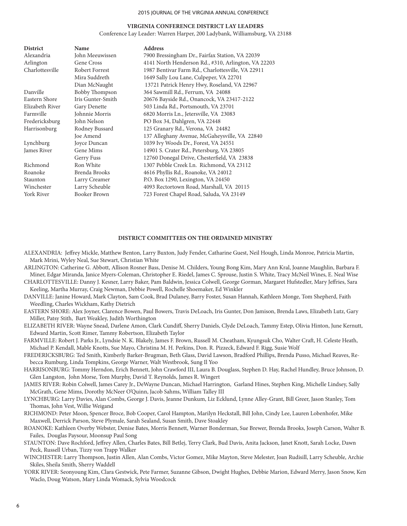#### 2015 JOURNAL OF THE VIRGINIA ANNUAL CONFERENCE

## **VIRGINIA CONFERENCE DISTRICT LAY LEADERS**

Conference Lay Leader: Warren Harper, 200 Ladybank, Williamsburg, VA 23188

| Name                  | <b>Address</b>                                      |
|-----------------------|-----------------------------------------------------|
| John Meeuwissen       | 7900 Bressingham Dr., Fairfax Station, VA 22039     |
| Gene Cross            | 4141 North Henderson Rd., #310, Arlington, VA 22203 |
| Robert Forrest        | 1987 Bentivar Farm Rd., Charlottesville, VA 22911   |
| Mira Suddreth         | 1649 Sally Lou Lane, Culpeper, VA 22701             |
| Dian McNaught         | 13721 Patrick Henry Hwy, Roseland, VA 22967         |
| <b>Bobby Thompson</b> | 364 Sawmill Rd., Ferrum, VA 24088                   |
| Iris Gunter-Smith     | 20676 Bayside Rd., Onancock, VA 23417-2122          |
| Gary Denette          | 503 Linda Rd., Portsmouth, VA 23701                 |
| Johnnie Morris        | 6820 Morris Ln., Jetersville, VA 23083              |
| John Nelson           | PO Box 34, Dahlgren, VA 22448                       |
| Rodney Bussard        | 125 Granary Rd., Verona, VA 24482                   |
| Joe Amend             | 137 Alleghany Avenue, McGaheysville, VA 22840       |
| Joyce Duncan          | 1039 Ivy Woods Dr., Forest, VA 24551                |
| Gene Mims             | 14901 S. Crater Rd., Petersburg, VA 23805           |
| Gerry Fuss            | 12760 Donegal Drive, Chesterfield, VA 23838         |
| Ron White             | 1307 Pebble Creek Ln. Richmond, VA 23112            |
| Brenda Brooks         | 4616 Phyllis Rd., Roanoke, VA 24012                 |
| Larry Creamer         | P.O. Box 1290, Lexington, VA 24450                  |
| Larry Scheuble        | 4093 Rectortown Road, Marshall, VA 20115            |
| Booker Brown          | 723 Forest Chapel Road, Saluda, VA 23149            |
|                       |                                                     |

#### **DISTRICT COMMITTEES ON THE ORDAINED MINISTRY**

- ALEXANDRIA: Jeffrey Mickle, Matthew Benton, Larry Buxton, Judy Fender, Catharine Guest, Neil Hough, Linda Monroe, Patricia Martin, Mark Mrini, Wyley Neal, Sue Stewart, Christian White
- ARLINGTON: Catherine G. Abbott, Allison Rosner Bass, Denise M. Childers, Young Bong Kim, Mary Ann Kral, Joanne Maughlin, Barbara F. Miner, Edgar Miranda, Janice Myers-Coleman, Christopher E. Riedel, James C. Sprouse, Justin S. White, Tracy McNeil Wines, E. Neal Wise
- CHARLOTTESVILLE: Danny J. Kesner, Larry Baker, Pam Baldwin, Jessica Colwell, George Gorman, Margaret Hufstedler, Mary Jeffries, Sara Keeling, Martha Murray, Craig Newman, Debbie Powell, Rochelle Shoemaker, Ed Winkler
- DANVILLE: Janine Howard, Mark Clayton, Sam Cook, Brad Dulaney, Barry Foster, Susan Hannah, Kathleen Monge, Tom Shepherd, Faith Weedling, Charles Wickham, Kathy Dietrich
- EASTERN SHORE: Alex Joyner, Clarence Bowen, Paul Bowers, Travis DeLoach, Iris Gunter, Don Jamison, Brenda Laws, Elizabeth Lutz, Gary Miller, Patsy Stith, Bart Weakley, Judith Worthington
- ELIZABETH RIVER: Wayne Snead, Darlene Amon, Clark Cundiff, Sherry Daniels, Clyde DeLoach, Tammy Estep, Olivia Hinton, June Kernutt, Edward Martin, Scott Rimer, Tammy Robertson, Elizabeth Taylor

FARMVILLE: Robert J. Parks Jr., Lyndsie N. K. Blakely, James F. Brown, Russell M. Cheatham, Kyungsuk Cho, Walter Craft, H. Celeste Heath, Michael P. Kendall, Mable Knotts, Sue Mayo, Christina M. H. Perkins, Don. R. Pizzeck, Edward F. Rigg, Susie Wolf

FREDERICKSBURG: Ted Smith, Kimberly Barker-Brugman, Beth Glass, David Lawson, Bradford Phillips, Brenda Pusso, Michael Reaves, Rebecca Rumburg, Linda Tompkins, George Warner, Walt Westbrook, Sung Il Yoo

- HARRISONBURG: Tommy Herndon, Erich Bennett, John Crawford III, Laura B. Douglass, Stephen D. Hay, Rachel Hundley, Bruce Johnson, D. Glen Langston, John Morse, Tom Murphy, David T. Reynolds, James R. Wingert
- JAMES RIVER: Robin Colwell, James Carey Jr., DeWayne Duncan, Michael Harrington, Garland Hines, Stephen King, Michelle Lindsey, Sally McGrath, Gene Mims, Dorothy McNeer O'Quinn, Jacob Sahms, William Talley III
- LYNCHBURG: Larry Davies, Alan Combs, George J. Davis, Jeanne Dunkum, Liz Ecklund, Lynne Alley-Grant, Bill Greer, Jason Stanley, Tom Thomas, John Vest, Willie Weigand
- RICHMOND: Peter Moon, Spencer Broce, Bob Cooper, Carol Hampton, Marilyn Heckstall, Bill John, Cindy Lee, Lauren Lobenhofer, Mike Maxwell, Derrick Parson, Steve Plymale, Sarah Sealand, Susan Smith, Dave Stoakley
- ROANOKE: Kathleen Overby Webster, Denise Bates, Morris Bennett, Warner Bonderman, Sue Brewer, Brenda Brooks, Joseph Carson, Walter B. Failes, Douglas Paysour, Moonsup Paul Song
- STAUNTON: Dave Rochford, Jeffrey Allen, Charles Bates, Bill Betlej, Terry Clark, Bud Davis, Anita Jackson, Janet Knott, Sarah Locke, Dawn Peck, Russell Urban, Tizzy von Trapp Walker
- WINCHESTER: Larry Thompson, Justin Allen, Alan Combs, Victor Gomez, Mike Mayton, Steve Melester, Joan Rudisill, Larry Scheuble, Archie Skiles, Sheila Smith, Sherry Waddell
- YORK RIVER: Seonyoung Kim, Clara Gestwick, Pete Farmer, Suzanne Gibson, Dwight Hughes, Debbie Marion, Edward Merry, Jason Snow, Ken Waclo, Doug Watson, Mary Linda Womack, Sylvia Woodcock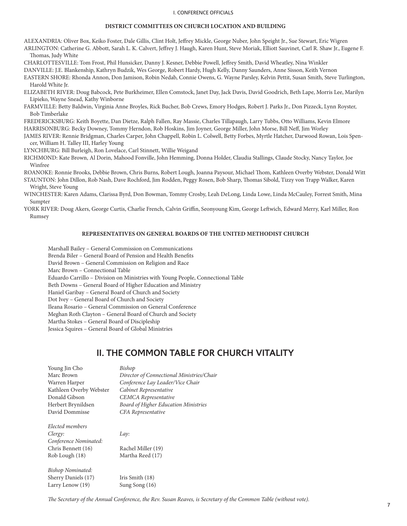#### I. CONFERENCE OFFICIALS

### **DISTRICT COMMITTEES ON CHURCH LOCATION AND BUILDING**

ALEXANDRIA: Oliver Box, Keiko Foster, Dale Gillis, Clint Holt, Jeffrey Mickle, George Nuber, John Speight Jr., Sue Stewart, Eric Wigren ARLINGTON: Catherine G. Abbott, Sarah L. K. Calvert, Jeffrey J. Haugh, Karen Hunt, Steve Moriak, Elliott Sauvinet, Carl R. Shaw Jr., Eugene F. Thomas, Judy White

CHARLOTTESVILLE: Tom Frost, Phil Hunsicker, Danny J. Kesner, Debbie Powell, Jeffrey Smith, David Wheatley, Nina Winkler

DANVILLE: J.E. Blankenship, Kathryn Budzik, Wes George, Robert Hardy, Hugh Kelly, Danny Saunders, Anne Sisson, Keith Vernon

EASTERN SHORE: Rhonda Annon, Don Jamison, Robin Nedab, Connie Owens, G. Wayne Parsley, Kelvin Pettit, Susan Smith, Steve Turlington, Harold White Jr.

ELIZABETH RIVER: Doug Babcock, Pete Burkheimer, Ellen Comstock, Janet Day, Jack Davis, David Goodrich, Beth Lape, Morris Lee, Marilyn Lipieko, Wayne Snead, Kathy Winborne

FARMVILLE: Betty Baldwin, Virginia Anne Broyles, Rick Bucher, Bob Crews, Emory Hodges, Robert J. Parks Jr., Don Pizzeck, Lynn Royster, Bob Timberlake

FREDERICKSBURG: Keith Boyette, Dan Dietze, Ralph Fallen, Ray Massie, Charles Tillapaugh, Larry Tubbs, Otto Williams, Kevin Elmore

HARRISONBURG: Becky Downey, Tommy Herndon, Rob Hoskins, Jim Joyner, George Miller, John Morse, Bill Neff, Jim Worley

JAMES RIVER: Rennie Bridgman, Charles Carper, John Chappell, Robin L. Colwell, Betty Forbes, Myrtle Hatcher, Darwood Rowan, Lois Spencer, William H. Talley III, Harley Young

LYNCHBURG: Bill Burleigh, Ron Lovelace, Carl Stinnett, Willie Weigand

RICHMOND: Kate Brown, Al Dorin, Mahood Fonville, John Hemming, Donna Holder, Claudia Stallings, Claude Stocky, Nancy Taylor, Joe Winfree

ROANOKE: Ronnie Brooks, Debbie Brown, Chris Burns, Robert Lough, Joanna Paysour, Michael Thom, Kathleen Overby Webster, Donald Witt STAUNTON: John Dillon, Rob Nash, Dave Rochford, Jim Rodden, Peggy Rosen, Bob Sharp, Thomas Sibold, Tizzy von Trapp Walker, Karen Wright, Steve Young

WINCHESTER: Karen Adams, Clarissa Byrd, Don Bowman, Tommy Crosby, Leah DeLong, Linda Lowe, Linda McCauley, Forrest Smith, Mina Sumpter

YORK RIVER: Doug Akers, George Curtis, Charlie French, Calvin Griffin, Seonyoung Kim, George Leftwich, Edward Merry, Karl Miller, Ron Rumsey

## **REPRESENTATIVES ON GENERAL BOARDS OF THE UNITED METHODIST CHURCH**

Marshall Bailey – General Commission on Communications Brenda Biler – General Board of Pension and Health Benefits David Brown – General Commission on Religion and Race Marc Brown – Connectional Table Eduardo Carrillo – Division on Ministries with Young People, Connectional Table Beth Downs – General Board of Higher Education and Ministry Haniel Garibay – General Board of Church and Society Dot Ivey – General Board of Church and Society Ileana Rosario – General Commission on General Conference Meghan Roth Clayton – General Board of Church and Society Martha Stokes – General Board of Discipleship Jessica Squires – General Board of Global Ministries

## **II. THE COMMON TABLE FOR CHURCH VITALITY**

| Bishop                                      |
|---------------------------------------------|
| Director of Connectional Ministries/Chair   |
| Conference Lay Leader/Vice Chair            |
| Cabinet Representative                      |
| <b>CEMCA</b> Representative                 |
| <b>Board of Higher Education Ministries</b> |
| <b>CFA</b> Representative                   |
|                                             |
| Lay:                                        |
|                                             |
| Rachel Miller (19)                          |
| Martha Reed (17)                            |
|                                             |
| Iris Smith (18)                             |
| Sung Song $(16)$                            |
|                                             |

*The Secretary of the Annual Conference, the Rev. Susan Reaves, is Secretary of the Common Table (without vote).*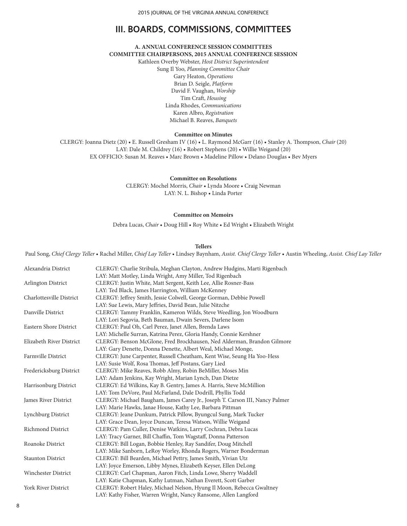## **III. BOARDS, COMMISSIONS, COMMITTEES**

## **A. ANNUAL CONFERENCE SESSION COMMITTEES COMMITTEE CHAIRPERSONS, 2015 ANNUAL CONFERENCE SESSION**

Kathleen Overby Webster, *Host District Superintendent* Sung Il Yoo, *Planning Committee Chair* Gary Heaton, *Operations* Brian D. Seigle, *Platform* David F. Vaughan, *Worship* Tim Craft, *Housing* Linda Rhodes, *Communications* Karen Albro, *Registration* Michael B. Reaves, *Banquets*

#### **Committee on Minutes**

CLERGY: Joanna Dietz (20) • E. Russell Gresham IV (16) • L. Raymond McGarr (16) • Stanley A. Thompson, *Chair* (20) LAY: Dale M. Childrey (16) • Robert Stephens (20) • Willie Weigand (20) EX OFFICIO: Susan M. Reaves • Marc Brown • Madeline Pillow • Delano Douglas • Bev Myers

**Committee on Resolutions**

CLERGY: Mochel Morris, *Chair* • Lynda Moore • Craig Newman LAY: N. L. Bishop • Linda Porter

#### **Committee on Memoirs**

Debra Lucas, *Chair* • Doug Hill • Roy White • Ed Wright • Elizabeth Wright

#### **Tellers**

Paul Song, *Chief Clergy Teller* • Rachel Miller, *Chief Lay Teller* • Lindsey Baynham, *Assist. Chief Clergy Teller* • Austin Wheeling, *Assist. Chief Lay Teller*

| Alexandria District      | CLERGY: Charlie Stribula, Meghan Clayton, Andrew Hudgins, Marti Rigenbach    |
|--------------------------|------------------------------------------------------------------------------|
|                          | LAY: Matt Motley, Linda Wright, Amy Miller, Tod Rigenbach                    |
| Arlington District       | CLERGY: Justin White, Matt Sergent, Keith Lee, Allie Rosner-Bass             |
|                          | LAY: Ted Black, James Harrington, William McKenney                           |
| Charlottesville District | CLERGY: Jeffrey Smith, Jessie Colwell, George Gorman, Debbie Powell          |
|                          | LAY: Sue Lewis, Mary Jeffries, David Bean, Julie Nitzche                     |
| Danville District        | CLERGY: Tammy Franklin, Kameron Wilds, Steve Weedling, Jon Woodburn          |
|                          | LAY: Lori Segovia, Beth Bauman, Dwain Severs, Darlene Isom                   |
| Eastern Shore District   | CLERGY: Paul Oh, Carl Perez, Janet Allen, Brenda Laws                        |
|                          | LAY: Michelle Surran, Katrina Perez, Gloria Handy, Connie Kershner           |
| Elizabeth River District | CLERGY: Benson McGlone, Fred Brockhausen, Ned Alderman, Brandon Gilmore      |
|                          | LAY: Gary Denette, Donna Denette, Albert Weal, Michael Monge,                |
| Farmville District       | CLERGY: June Carpenter, Russell Cheatham, Kent Wise, Seung Ha Yoo-Hess       |
|                          | LAY: Susie Wolf, Rosa Thomas, Jeff Postans, Gary Lied                        |
| Fredericksburg District  | CLERGY: Mike Reaves, Robb Almy, Robin BeMiller, Moses Min                    |
|                          | LAY: Adam Jenkins, Kay Wright, Marian Lynch, Dan Dietze                      |
| Harrisonburg District    | CLERGY: Ed Wilkins, Kay B. Gentry, James A. Harris, Steve McMillion          |
|                          | LAY: Tom DeVore, Paul McFarland, Dale Dodrill, Phyllis Todd                  |
| James River District     | CLERGY: Michael Baugham, James Carey Jr., Joseph T. Carson III, Nancy Palmer |
|                          | LAY: Marie Hawks, Janae House, Kathy Lee, Barbara Pittman                    |
| Lynchburg District       | CLERGY: Jeane Dunkum, Patrick Pillow, Byungcul Sung, Mark Tucker             |
|                          | LAY: Grace Dean, Joyce Duncan, Teresa Watson, Willie Weigand                 |
| Richmond District        | CLERGY: Pam Culler, Denise Watkins, Larry Cochran, Debra Lucas               |
|                          | LAY: Tracy Garner, Bill Chaffin, Tom Wagstaff, Donna Patterson               |
| Roanoke District         | CLERGY: Bill Logan, Bobbie Henley, Ray Sandifer, Doug Mitchell               |
|                          | LAY: Mike Sanborn, LeRoy Worley, Rhonda Rogers, Warner Bonderman             |
| <b>Staunton District</b> | CLERGY: Bill Bearden, Michael Pettry, James Smith, Vivian Utz                |
|                          | LAY: Joyce Emerson, Libby Mynes, Elizabeth Keyser, Ellen DeLong              |
| Winchester District      | CLERGY: Carl Chapman, Aaron Fitch, Linda Lowe, Sherry Waddell                |
|                          | LAY: Katie Chapman, Kathy Lutman, Nathan Everett, Scott Garber               |
| York River District      | CLERGY: Robert Haley, Michael Nelson, Hyung Il Moon, Rebecca Gwaltney        |
|                          | LAY: Kathy Fisher, Warren Wright, Nancy Ransome, Allen Langford              |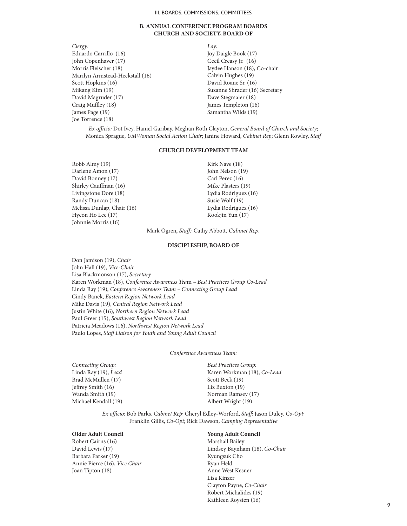#### **B. ANNUAL CONFERENCE PROGRAM BOARDS CHURCH AND SOCIETY, BOARD OF**

*Clergy:* Eduardo Carrillo (16) John Copenhaver (17) Morris Fleischer (18) Marilyn Armstead-Heckstall (16) Scott Hopkins (16) Mikang Kim (19) David Magruder (17) Craig Muffley (18) James Page (19) Joe Torrence (18)

*Lay:*  Joy Daigle Book (17) Cecil Creasy Jr. (16) Jaydee Hanson (18), Co-chair Calvin Hughes (19) David Roane Sr. (16) Suzanne Shrader (16) Secretary Dave Stegmaier (18) James Templeton (16) Samantha Wilds (19)

*Ex officio:* Dot Ivey, Haniel Garibay, Meghan Roth Clayton, *General Board of Church and Society*; Monica Sprague, *UMWoman Social Action Chair*; Janine Howard, *Cabinet Rep*; Glenn Rowley, *Staff*

#### **CHURCH DEVELOPMENT TEAM**

Robb Almy (19) Darlene Amon (17) David Bonney (17) Shirley Cauffman (16) Livingstone Dore (18) Randy Duncan (18) Melissa Dunlap, Chair (16) Hyeon Ho Lee (17) Johnnie Morris (16)

Kirk Nave (18) John Nelson (19) Carl Perez (16) Mike Plasters (19) Lydia Rodriguez (16) Susie Wolf (19) Lydia Rodriguez (16) Kookjin Yun (17)

Mark Ogren, *Staff;* Cathy Abbott, *Cabinet Rep.*

### **DISCIPLESHIP, BOARD OF**

Don Jamison (19), *Chair* John Hall (19), *Vice-Chair* Lisa Blackmonson (17), *Secretary* Karen Workman (18), *Conference Awareness Tea*m *– Best Practices Group Co-Lead*  Linda Ray (19), *Conference Awareness Team – Connecting Group Lead*  Cindy Banek, *Eastern Region Network Lead* Mike Davis (19), *Central Region Network Lead* Justin White (16), *Northern Region Network Lead* Paul Greer (15), *Southwest Region Network Lead* Patricia Meadows (16), *Northwest Region Network Lead* Paulo Lopes, *Staff Liaison for Youth and Young Adult Council*

*Conference Awareness Team:*

*Connecting Group:* Linda Ray (19), *Lead* Brad McMullen (17) Jeffrey Smith (16) Wanda Smith (19) Michael Kendall (19)

*Best Practices Group:* Karen Workman (18), *Co-Lead*  Scott Beck (19) Liz Buxton (19) Norman Ramsey (17) Albert Wright (19)

*Ex officio:* Bob Parks, *Cabinet Rep*; Cheryl Edley-Worford, *Staff*; Jason Duley, *Co-Opt*; Franklin Gillis, *Co-Opt*; Rick Dawson, *Camping Representative*

## **Older Adult Council**

Robert Cairns (16) David Lewis (17) Barbara Parker (19) Annie Pierce (16), *Vice Chair* Joan Tipton (18)

## **Young Adult Council**

Marshall Bailey Lindsey Baynham (18), *Co-Chair*  Kyungsuk Cho Ryan Held Anne West Kesner Lisa Kinzer Clayton Payne, *Co-Chair* Robert Michalides (19) Kathleen Roysten (16)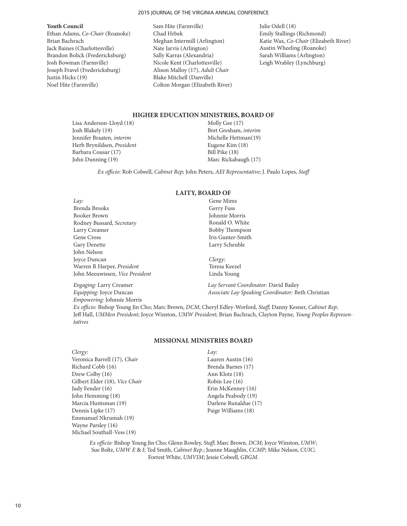#### 2015 JOURNAL OF THE VIRGINIA ANNUAL CONFERENCE

#### **Youth Council**

Ethan Adams, *Co-Chair* (Roanoke) Brian Bachrach Jack Baines (Charlottesville) Brandon Bolick (Fredericksburg) Josh Bowman (Farmville) Joseph Fravel (Fredericksburg) Justin Hicks (19) Noel Hite (Farmville)

- Sam Hite (Farmville) Chad Hrbek Meghan Intermill (Arlington) Nate Jarvis (Arlington) Sally Karras (Alexandria) Nicole Kent (Charlottesville) Alison Malloy (17), *Adult Chair* Blake Mitchell (Danville) Colton Morgan (Elizabeth River)
- Julie Odell (18) Emily Stallings (Richmond) Katie Wax, *Co-Chair* (Elizabeth River) Austin Wheeling (Roanoke) Sarah Williams (Arlington) Leigh Wrabley (Lynchburg)

## **HIGHER EDUCATION MINISTRIES, BOARD OF**

Lisa Anderson-Lloyd (18) Josh Blakely (19) Jennifer Braaten, *interim* Herb Brynildsen, *President* Barbara Cousar (17) John Dunning (19)

Molly Gee (17) Bret Gresham, *interim* Michelle Hettman(19) Eugene Kim (18) Bill Pike (18) Marc Rickabaugh (17)

*Ex officio:* Rob Colwell, *Cabinet Rep*; John Peters, *AEI Representative*; J. Paulo Lopes, *Staff*

**LAITY, BOARD OF**

| Lay:                            | Gene Mims             |
|---------------------------------|-----------------------|
| Brenda Brooks                   | Gerry Fuss            |
| Booker Brown                    | Johnnie Morris        |
| Rodney Bussard, Secretary       | Ronald O. White       |
| Larry Creamer                   | <b>Bobby Thompson</b> |
| Gene Cross                      | Iris Gunter-Smith     |
| Gary Denette                    | Larry Scheuble        |
| John Nelson                     |                       |
| Joyce Duncan                    | Clergy:               |
| Warren R Harper, President      | Teresa Keezel         |
| John Meeuwissen, Vice President | Linda Young           |

*Empowering:* Johnnie Morris

## *Engaging:* Larry Creamer *Lay Servant Coordinator:* David Bailey

*Equipping:* Joyce Duncan *Associate Lay Speaking Coordinator:* Beth Christian

*Ex officio:* Bishop Young Jin Cho; Marc Brown, *DCM*; Cheryl Edley-Worford, *Staff*; Danny Kesner, *Cabinet Rep*; Jeff Hall, *UMMen President*; Joyce Winston, *UMW President*; Brian Bachrach, Clayton Payne, *Young Peoples Representatives*

## **MISSIONAL MINISTRIES BOARD**

*Clergy:* Veronica Barrell (17), *Chair* Richard Cobb (16) Drew Colby (16) Gilbert Elder (18), *Vice Chair* Judy Fender (16) John Hemming (18) Marcia Huntsman (19) Dennis Lipke (17) Emmanuel Nkrumah (19) Wayne Parsley (16) Michael Southall-Vess (19)

*Lay:* Lauren Austin (16) Brenda Barnes (17) Ann Klotz (18) Robin Lee (16) Erin McKenney (16) Angela Peabody (19) Darlene Runaldue (17) Paige Williams (18)

*Ex officio:* Bishop Young Jin Cho; Glenn Rowley, *Staff*; Marc Brown, *DCM*; Joyce Winston, *UMW*; Sue Boltz, *UMW E* & *I*; Ted Smith, *Cabinet Rep*.; Joanne Maughlin, *CCMP*; Mike Nelson, *CUIC*; Forrest White, *UMVIM*; Jessie Colwell, *GBGM*.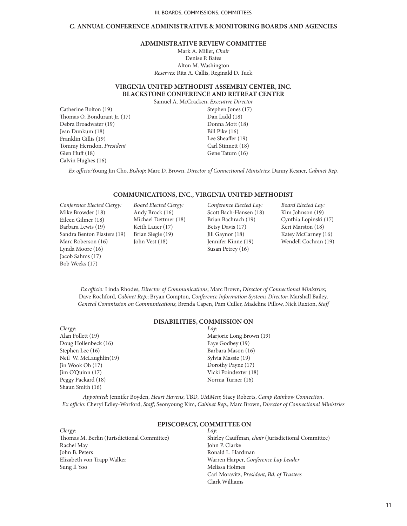#### **C. ANNUAL CONFERENCE ADMINISTRATIVE & MONITORING BOARDS AND AGENCIES**

### **ADMINISTRATIVE REVIEW COMMITTEE**

Mark A. Miller, *Chair* Denise P. Bates Alton M. Washington *Reserves:* Rita A. Callis, Reginald D. Tuck

## **VIRGINIA UNITED METHODIST ASSEMBLY CENTER, INC. BLACKSTONE CONFERENCE AND RETREAT CENTER**

Samuel A. McCracken, *Executive Director*

Catherine Bolton (19) Thomas O. Bondurant Jr. (17) Debra Broadwater (19) Jean Dunkum (18) Franklin Gillis (19) Tommy Herndon, *President* Glen Huff (18) Calvin Hughes (16)

Stephen Jones (17) Dan Ladd (18) Donna Mott (18) Bill Pike (16) Lee Sheaffer (19) Carl Stinnett (18) Gene Tatum (16)

*Ex officio:*Young Jin Cho, *Bishop*; Marc D. Brown, *Director of Connectional Ministries*; Danny Kesner, *Cabinet Rep.*

#### **COMMUNICATIONS, INC., VIRGINIA UNITED METHODIST**

*Conference Elected Clergy:* Mike Browder (18) Eileen Gilmer (18) Barbara Lewis (19) Sandra Benton Plasters (19) Marc Roberson (16) Lynda Moore (16) Jacob Sahms (17) Bob Weeks (17)

*Board Elected Clergy:* Andy Brock (16) Michael Dettmer (18) Keith Lauer (17) Brian Siegle (19) John Vest (18)

*Conference Elected Lay:* Scott Bach-Hansen (18) Brian Bachrach (19) Betsy Davis (17) Jill Gaynor (18) Jennifer Kinne (19) Susan Petrey (16)

*Board Elected Lay:* Kim Johnson (19) Cynthia Lopinski (17) Keri Marston (18) Katey McCarney (16) Wendell Cochran (19)

*Ex officio:* Linda Rhodes, *Director of Communications*; Marc Brown, *Director of Connectional Ministries*; Dave Rochford, *Cabinet Rep.*; Bryan Compton, *Conference Information Systems Director*; Marshall Bailey, *General Commission on Communications*; Brenda Capen, Pam Culler, Madeline Pillow, Nick Ruxton, *Staff*

## **DISABILITIES, COMMISSION ON**

*Clergy:* Alan Follett (19) Doug Hollenbeck (16) Stephen Lee (16) Neil W. McLaughlin(19)  $\text{lin}$  Wook Oh  $(17)$ Jim O'Quinn (17) Peggy Packard (18) Shaun Smith (16)

*Lay:* Marjorie Long Brown (19) Faye Godbey (19) Barbara Mason (16) Sylvia Massie (19) Dorothy Payne (17) Vicki Poindexter (18) Norma Turner (16)

*Appointed:* Jennifer Boyden, *Heart Havens*; TBD, *UMMen*; Stacy Roberts, *Camp Rainbow Connection*. *Ex officio*: Cheryl Edley-Worford, *Staff*; Seonyoung Kim, *Cabinet Rep.*, Marc Brown, *Director of Connectional Ministries*

*Clergy:* Thomas M. Berlin (Jurisdictional Committee) Rachel May John B. Peters Elizabeth von Trapp Walker Sung Il Yoo

#### **EPISCOPACY, COMMITTEE ON**

*Lay:*

Shirley Cauffman, *chair* (Jurisdictional Committee) John P. Clarke Ronald L. Hardman Warren Harper, *Conference Lay Leader* Melissa Holmes Carl Moravitz, *President, Bd. of Trustees* Clark Williams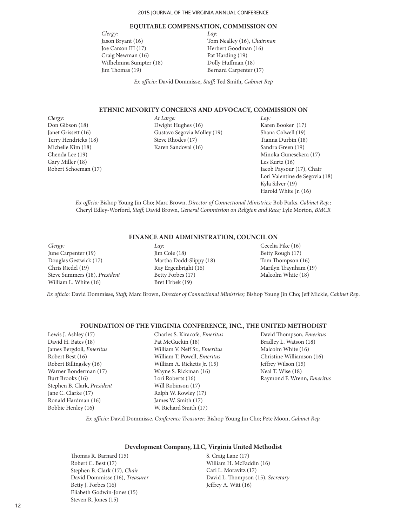#### **EQUITABLE COMPENSATION, COMMISSION ON**

*Clergy:* Jason Bryant (16) Joe Carson III (17) Craig Newman (16) Wilhelmina Sumpter (18) Jim Thomas (19)

*Lay:* Tom Nealley (16), *Chairman* Herbert Goodman (16) Pat Harding (19) Dolly Huffman (18) Bernard Carpenter (17)

*Ex officio:* David Dommisse, *Staff;* Ted Smith, *Cabinet Rep*

## **ETHNIC MINORITY CONCERNS AND ADVOCACY, COMMISSION ON**

*Clergy:* Don Gibson (18) Janet Grissett (16) Terry Hendricks (18) Michelle Kim (18) Chenda Lee (19) Gary Miller (18) Robert Schoeman (17) *At Large:* Dwight Hughes (16) Gustavo Segovia Molley (19) Steve Rhodes (17) Karen Sandoval (16)

*Lay:* Karen Booker (17) Shana Colwell (19) Tianna Durbin (18) Sandra Green (19) Minoka Gunesekera (17) Les Kurtz (16) Jacob Paysour (17), Chair Lori Valentine de Segovia (18) Kyla Silver (19) Harold White Jr. (16)

*Ex officio:* Bishop Young Jin Cho; Marc Brown, *Director of Connectional Ministries;* Bob Parks, *Cabinet Rep.;*  Cheryl Edley-Worford, *Staff;* David Brown, *General Commission on Religion and Race;* Lyle Morton, *BMCR*

## **FINANCE AND ADMINISTRATION, COUNCIL ON**

*Clergy:* June Carpenter (19) Douglas Gestwick (17) Chris Riedel (19) Steve Summers (18), *President* William L. White (16)

*Lay:* Jim Cole (18) Martha Dodd-Slippy (18) Ray Ergenbright (16) Betty Forbes (17) Bret Hrbek (19)

Cecelia Pike (16) Betty Rough (17) Tom Thompson (16) Marilyn Traynham (19) Malcolm White (18)

*Ex officio:* David Dommisse, *Staff;* Marc Brown, *Director of Connectional Ministries;* Bishop Young Jin Cho; Jeff Mickle, *Cabinet Rep*.

### **FOUNDATION OF THE VIRGINIA CONFERENCE, INC., THE UNITED METHODIST**

Lewis J. Ashley (17) David H. Bates (18) James Bergdoll, *Emeritus* Robert Best (16) Robert Billingsley (16) Warner Bonderman (17) Burt Brooks (16) Stephen B. Clark, *President* Jane C. Clarke (17) Ronald Hardman (16) Bobbie Henley (16)

Charles S. Kiracofe, *Emeritus* Pat McGuckin (18) William V. Neff Sr., *Emeritus* William T. Powell, *Emeritus* William A. Ricketts Jr. (15) Wayne S. Rickman (16) Lori Roberts (16) Will Robinson (17) Ralph W. Rowley (17) James W. Smith (17) W. Richard Smith (17)

David Thompson, *Emeritus* Bradley L. Watson (18) Malcolm White (16) Christine Williamson (16) Jeffrey Wilson (15) Neal T. Wise (18) Raymond F. Wrenn, *Emeritus*

*Ex officio:* David Dommisse, *Conference Treasurer;* Bishop Young Jin Cho; Pete Moon, *Cabinet Rep.*

## **Development Company, LLC, Virginia United Methodist**

Thomas R. Barnard (15) Robert C. Best (17) Stephen B. Clark (17), *Chair* David Dommisse (16), *Treasurer* Betty J. Forbes (16) Eliabeth Godwin-Jones (15) Steven R. Jones (15)

S. Craig Lane (17) William H. McFaddin (16) Carl L. Moravitz (17) David L. Thompson (15), *Secretary* Jeffrey A. Witt (16)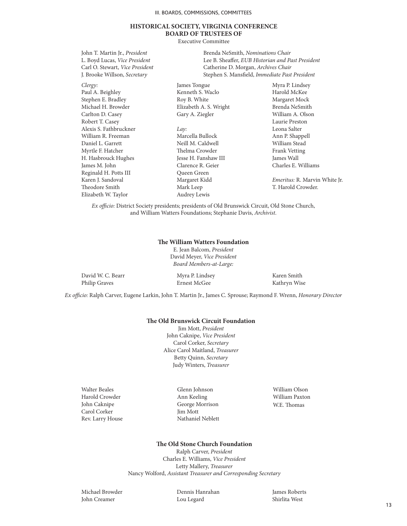## **HISTORICAL SOCIETY, VIRGINIA CONFERENCE BOARD OF TRUSTEES OF**

Executive Committee

Brenda NeSmith, *Nominations Chair* Lee B. Sheaffer, *EUB Historian and Past President* Catherine D. Morgan, *Archives Chair* Stephen S. Mansfield, *Immediate Past President*

*Clergy:* Paul A. Beighley Stephen E. Bradley Michael H. Browder Carlton D. Casey Robert T. Casey Alexis S. Fathbruckner William R. Freeman Daniel L. Garrett Myrtle F. Hatcher H. Hasbrouck Hughes James M. John Reginald H. Potts III Karen J. Sandoval Theodore Smith Elizabeth W. Taylor

John T. Martin Jr., *President* L. Boyd Lucas, *Vice President* Carl O. Stewart, *Vice President* J. Brooke Willson, *Secretary*

> James Tongue Kenneth S. Waclo Roy B. White Elizabeth A. S. Wright Gary A. Ziegler

*Lay:* Marcella Bullock Neill M. Caldwell Thelma Crowder Jesse H. Fanshaw III Clarence R. Geier Queen Green Margaret Kidd Mark Leep Audrey Lewis

Myra P. Lindsey Harold McKee Margaret Mock Brenda NeSmith William A. Olson Laurie Preston Leona Salter Ann P. Shappell William Stead Frank Vetting James Wall Charles E. Williams

*Emeritus:* R. Marvin White Jr. T. Harold Crowder.

*Ex officio:* District Society presidents; presidents of Old Brunswick Circuit, Old Stone Church, and William Watters Foundations; Stephanie Davis, *Archivist*.

## **The William Watters Foundation**

E. Jean Balcom, *President* David Meyer, *Vice President Board Members-at-Large:*

| David W. C. Bearr | Myra P. Lindsey<br>$-2 - 1 = 0$ | Karen Smith  |
|-------------------|---------------------------------|--------------|
| Philip Graves     | Ernest McGee                    | Kathryn Wise |

*Ex officio:* Ralph Carver, Eugene Larkin, John T. Martin Jr., James C. Sprouse; Raymond F. Wrenn, *Honorary Director*

#### **The Old Brunswick Circuit Foundation**

Jim Mott, *President* John Caknipe, *Vice President* Carol Corker, *Secretary* Alice Carol Maitland, *Treasurer* Betty Quinn, *Secretary* Judy Winters, *Treasurer*

Walter Beales Harold Crowder John Caknipe Carol Corker Rev. Larry House

Glenn Johnson Ann Keeling George Morrison Jim Mott Nathaniel Neblett William Olson William Paxton W.E. Thomas

#### **The Old Stone Church Foundation**

Ralph Carver, *President* Charles E. Williams, *Vice President* Letty Mallery, *Treasurer* Nancy Wolford, *Assistant Treasurer and Corresponding Secretary*

Michael Browder John Creamer

Dennis Hanrahan Lou Legard

James Roberts Shirlita West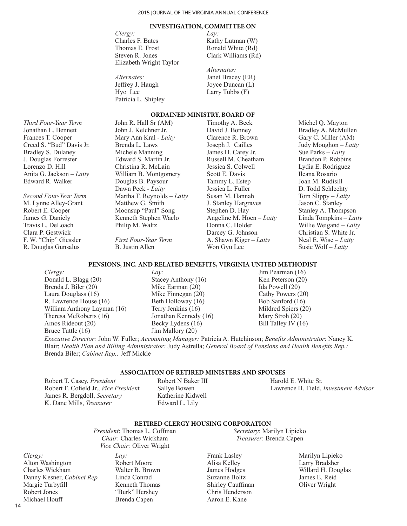### **INVESTIGATION, COMMITTEE ON**

*Clergy:*  Charles F. Bates Thomas E. Frost Steven R. Jones Elizabeth Wright Taylor

| Alternates:         |  |
|---------------------|--|
| Jeffrey J. Haugh    |  |
| Hvo Lee             |  |
| Patricia L. Shipley |  |

*Lay:*  Kathy Lutman (W) Ronald White (Rd) Clark Williams (Rd)

*Alternates:* Janet Bracey (ER) Joyce Duncan (L) Larry Tubbs (F)

Timothy A. Beck

## **ORDAINED MINISTRY, BOARD OF**

*Third Four-Year Term* Jonathan L. Bennett Frances T. Cooper Creed S. "Bud" Davis Jr. Bradley S. Dulaney J. Douglas Forrester Lorenzo D. Hill Anita G. Jackson – *Laity* Edward R. Walker

*Second Four-Year Term* M. Lynne Alley-Grant Robert E. Cooper James G. Daniely Travis L. DeLoach Clara P. Gestwick F. W. "Chip" Giessler R. Douglas Gunsalus

John R. Hall Sr (AM) John J. Kelchner Jr. Mary Ann Kral - *Laity* Brenda L. Laws Michele Manning Edward S. Martin Jr. Christina R. McLain William B. Montgomery Douglas B. Paysour Dawn Peck - *Laity* Martha T. Reynolds – *Laity*  Matthew G. Smith Moonsup "Paul" Song Kenneth Stephen Waclo Philip M. Waltz

*First Four-Year Term* B. Justin Allen

David J. Bonney Clarence R. Brown Joseph J. Cailles James H. Carey Jr. Russell M. Cheatham Jessica S. Colwell Scott E. Davis Tammy L. Estep Jessica L. Fuller Susan M. Hannah J. Stanley Hargraves Stephen D. Hay Angeline M. Hoen – *Laity* Donna C. Holder Darcey G. Johnson A. Shawn Kiger – *Laity*  Won Gyu Lee

Michel Q. Mayton Bradley A. McMullen Gary C. Miller (AM) Judy Moughon – *Laity*  Sue Parks – *Laity*  Brandon P. Robbins Lydia E. Rodriguez Ileana Rosario Joan M. Rudisill D. Todd Schlechty Tom Slippy – *Laity*  Jason C. Stanley Stanley A. Thompson Linda Tompkins – *Laity*  Willie Weigand – *Laity*  Christian S. White Jr. Neal E. Wise – *Laity*  Susie Wolf – *Laity*

### **PENSIONS, INC. AND RELATED BENEFITS, VIRGINIA UNITED METHODIST**

*Clergy:* Donald L. Blagg (20) Brenda J. Biler (20) Laura Douglass (16) R. Lawrence House (16) William Anthony Layman (16) Theresa McRoberts (16) Amos Rideout (20) Bruce Tuttle (16)

*Lay:* Stacey Anthony (16) Mike Earman (20) Mike Finnegan (20) Beth Holloway (16) Terry Jenkins (16) Jonathan Kennedy (16) Becky Lydens (16) Jim Mallory (20)

Jim Pearman (16) Ken Peterson (20) Ida Powell (20) Cathy Powers (20) Bob Sanford (16) Mildred Spiers (20) Mary Stroh (20) Bill Talley IV (16)

*Secretary*: Marilyn Lipieko *Treasurer*: Brenda Capen

*Executive Director:* John W. Fuller; *Accounting Manager:* Patricia A. Hutchinson; *Benefits Administrator*: Nancy K. Blair; *Health Plan and Billing Administrator:* Judy Astrella; *General Board of Pensions and Health Benefits Rep.:* Brenda Biler; *Cabinet Rep.:* Jeff Mickle

## **ASSOCIATION OF RETIRED MINISTERS AND SPOUSES**

Robert T. Casey, *President* Robert F. Cofield Jr., *Vice Presiden*t James R. Bergdoll, *Secretary* K. Dane Mills, *Treasurer*

Robert N Baker III Sallye Bowen Katherine Kidwell Edward L. Lily

Harold E. White Sr. Lawrence H. Field, *Investment Advisor*

### **RETIRED CLERGY HOUSING CORPORATION**

*President*: Thomas L. Coffman *Chair*: Charles Wickham *Vice Chair:* Oliver Wright

*Clergy:* Alton Washington Charles Wickham Danny Kesner, *Cabinet Rep* Margie Turbyfill Robert Jones Michael Houff

*Lay:* Robert Moore Walter B. Brown Linda Conrad Kenneth Thomas "Burk" Hershey Brenda Capen

Frank Lasley Alisa Kelley James Hodges Suzanne Boltz Shirley Cauffman Chris Henderson Aaron E. Kane

Marilyn Lipieko Larry Bradsher Willard H. Douglas James E. Reid Oliver Wright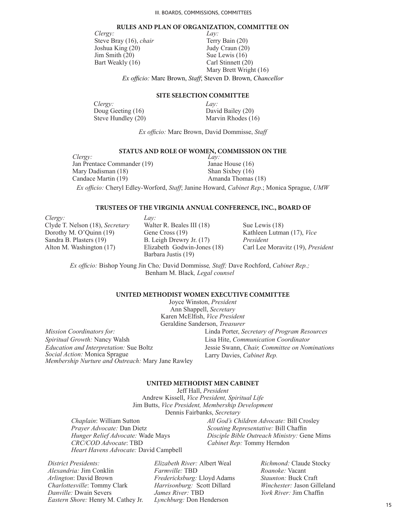#### **RULES AND PLAN OF ORGANIZATION, COMMITTEE ON**

*Clergy:* Steve Bray (16), *chair* Joshua King (20) Jim Smith (20) Bart Weakly (16)

*Lay:* Terry Bain (20) Judy Craun (20) Sue Lewis (16) Carl Stinnett (20) Mary Brett Wright (16)

*Ex officio:* Marc Brown, *Staff*; Steven D. Brown, *Chancellor*

## **SITE SELECTION COMMITTEE**

C*lergy:*

Doug Geeting (16) Steve Hundley (20)

*Lay:* David Bailey (20) Marvin Rhodes (16)

*Ex officio:* Marc Brown, David Dommisse, *Staff*

## **STATUS AND ROLE OF WOMEN, COMMISSION ON THE**

*Clergy:* Jan Prentace Commander (19) Mary Dadisman (18) Candace Martin (19)

*Lay:* Janae House (16) Shan Sixbey (16) Amanda Thomas (18)

*Ex officio:* Cheryl Edley-Worford, *Staff*; Janine Howard, *Cabinet Rep*.; Monica Sprague, *UMW*

## **TRUSTEES OF THE VIRGINIA ANNUAL CONFERENCE, INC., BOARD OF**

*Clergy:* Clyde T. Nelson (18), *Secretary*  Dorothy M. O'Quinn (19) Sandra B. Plasters (19) Alton M. Washington (17)

*Mission Coordinators for: Spiritual Growth:* Nancy Walsh

*Social Action:* Monica Sprague

*Education and Interpretation:* Sue Boltz

*Lay:* Walter R. Beales III (18) Gene Cross (19) B. Leigh Drewry Jr. (17) Elizabeth Godwin-Jones (18) Barbara Justis (19)

Sue Lewis (18) Kathleen Lutman (17), *Vice President* Carl Lee Moravitz (19), *President*

*Ex officio:* Bishop Young Jin Cho*;* David Dommisse*, Staff;* Dave Rochford, *Cabinet Rep.;*  Benham M. Black*, Legal counsel*

#### **UNITED METHODIST WOMEN EXECUTIVE COMMITTEE**

Joyce Winston, *President* Ann Shappell, *Secretary* Karen McElfish, *Vice President* Geraldine Sanderson, *Treasurer Membership Nurture and Outreach:* Mary Jane Rawley Linda Porter, *Secretary of Program Resources* Lisa Hite, *Communication Coordinator* Jessie Swann, *Chair, Committee on Nominations* Larry Davies, *Cabinet Rep.*

## **UNITED METHODIST MEN CABINET**

Jeff Hall, *President* Andrew Kissell, *Vice President, Spiritual Life* Jim Butts, *Vice President, Membership Development* Dennis Fairbanks, *Secretary*

*Chaplain*: William Sutton *Prayer Advocate:* Dan Dietz *Hunger Relief Advocate:* Wade Mays *CRC/COD Advocate*: TBD *Heart Havens Advocate:* David Campbell *All God's Children Advocate:* Bill Crosley *Scouting Representative:* Bill Chaffin *Disciple Bible Outreach Ministry:* Gene Mims *Cabinet Rep:* Tommy Herndon

*District Presidents: Alexandria:* Jim Conklin *Arlington*: David Brown *Charlottesville*: Tommy Clark *Danville:* Dwain Severs *Eastern Shore:* Henry M. Cathey Jr.

*Elizabeth River:* Albert Weal *Farmville:* TBD *Fredericksburg:* Lloyd Adams *Harrisonburg:* Scott Dillard *James River:* TBD *Lynchburg:* Don Henderson

*Richmond:* Claude Stocky *Roanoke:* Vacant *Staunton:* Buck Craft *Winchester:* Jason Gilleland *York River:* Jim Chaffin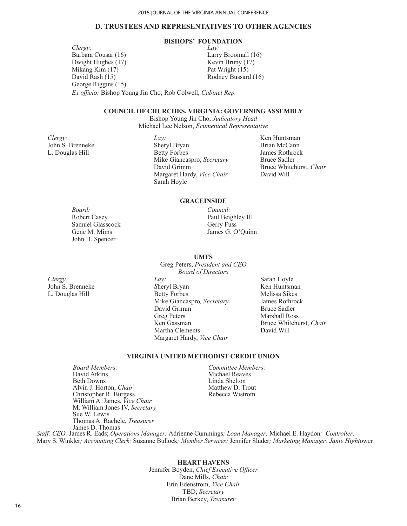## **D. TRUSTEES AND REPRESENTATIVES TO OTHER AGENCIES**

## **BISHOPS' FOUNDATION**

 *Ex officio:* Bishop Young Jin Cho; Rob Colwell, *Cabinet Rep. Clergy:* Barbara Cousar (16) Dwight Hughes (17) Mikang Kim (17) David Rash (15) George Riggins (15) *Lay:* Larry Broomall (16) Kevin Bruny (17) Pat Wright (15) Rodney Bussard (16)

## **COUNCIL OF CHURCHES, VIRGINIA: GOVERNING ASSEMBLY**

Bishop Young Jin Cho, *Judicatory Head* Michael Lee Nelson, *Ecumenical Representative*

*Clergy:* John S. Brenneke L. Douglas Hill

*Lay:* Sheryl Bryan Betty Forbes Mike Giancaspro, *Secretary* David Grimm Margaret Hardy, *Vice Chair* Sarah Hoyle

Ken Huntsman Brian McCann James Rothrock Bruce Sadler Bruce Whitehurst, *Chair* David Will

## **GRACEINSIDE**

**UMFS** Greg Peters, *President and CEO*

*Council:*

Paul Beighley III Gerry Fuss James G. O'Quinn

*Board:* Robert Casey Samuel Glasscock Gene M. Mims John H. Spencer

*Clergy:* John S. Brenneke L. Douglas Hill

- *Board of Directors Lay: S*heryl Bryan Betty Forbes Mike Giancaspro*, Secretary* David Grimm Greg Peters Ken Gassman Martha Clements Margaret Hardy, *Vice Chair*
- Sarah Hoyle Ken Huntsman Melissa Sikes James Rothrock Bruce Sadler Marshall Ross Bruce Whitehurst, *Chair* David Will

## **VIRGINIA UNITED METHODIST CREDIT UNION**

*Board Members:* David Atkins Beth Downs Alvin J. Horton, *Chair* Christopher R. Burgess William A. James, *Vice Chair* M. William Jones IV, *Secretary* Sue W. Lewis Thomas A. Rachele, *Treasurer* James D. Thomas

*Committee Members:* Michael Reaves Linda Shelton Matthew D. Trout Rebecca Wistrom

 *Staff: CEO:* James R. Eads; *Operations Manager:* Adrienne Cummings*; Loan Manager:* Michael E. Haydon*; Controller:* Mary S. Winkler*; Accounting Clerk:* Suzanne Bullock*; Member Services:* Jennifer Sluder*; Marketing Manager: Janie Hight*ower

### **HEART HAVENS**

Jennifer Boyden, *Chief Executive Officer* Dane Mills, *Chair* Erin Edenstrom, *Vice Chair* TBD, *Secretary* Brian Berkey, *Treasurer*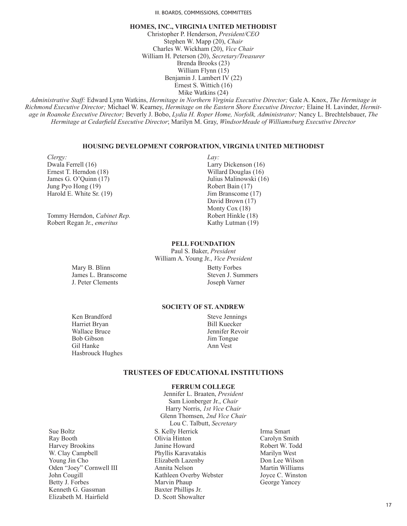III. BOARDS, COMMISSIONS, COMMITTEES

## **HOMES, INC., VIRGINIA UNITED METHODIST**

Christopher P. Henderson, *President/CEO* Stephen W. Mapp (20), *Chair* Charles W. Wickham (20), *Vice Chair* William H. Peterson (20), *Secretary/Treasurer* Brenda Brooks (23) William Flynn (15) Benjamin J. Lambert IV (22) Ernest S. Wittich (16) Mike Watkins (24)

*Administrative Staff:* Edward Lynn Watkins, *Hermitage in Northern Virginia Executive Director;* Gale A. Knox, *The Hermitage in Richmond Executive Director;* Michael W. Kearney, *Hermitage on the Eastern Shore Executive Director;* Elaine H. Lavinder, *Hermitage in Roanoke Executive Director;* Beverly J. Bobo, *Lydia H. Roper Home, Norfolk, Administrator;* Nancy L. Brechtelsbauer, *The Hermitage at Cedarfield Executive Director*; Marilyn M. Gray, *WindsorMeade of Williamsburg Executive Director*

## **HOUSING DEVELOPMENT CORPORATION, VIRGINIA UNITED METHODIST**

*Clergy:* Dwala Ferrell (16) Ernest T. Herndon (18) James G. O'Quinn (17) Jung Pyo Hong (19) Harold E. White Sr. (19)

Tommy Herndon, *Cabinet Rep.* Robert Regan Jr., *emeritus*

*Lay:* Larry Dickenson (16) Willard Douglas (16) Julius Malinowski (16) Robert Bain (17) Jim Branscome (17) David Brown (17) Monty Cox (18) Robert Hinkle (18) Kathy Lutman (19)

### **PELL FOUNDATION**

Paul S. Baker, *President* William A. Young Jr., *Vice President*

Mary B. Blinn James L. Branscome J. Peter Clements

Betty Forbes Steven J. Summers Joseph Varner

## **SOCIETY OF ST. ANDREW**

Ken Brandford Harriet Bryan Wallace Bruce Bob Gibson Gil Hanke Hasbrouck Hughes Steve Jennings Bill Kuecker Jennifer Revoir Jim Tongue Ann Vest

## **TRUSTEES OF EDUCATIONAL INSTITUTIONS**

#### **FERRUM COLLEGE** Jennifer L. Braaten, *President*

Sue Boltz Ray Booth Harvey Brookins W. Clay Campbell Young Jin Cho Oden "Joey" Cornwell III John Cougill Betty J. Forbes Kenneth G. Gassman Elizabeth M. Hairfield

Sam Lionberger Jr., *Chair* Harry Norris, *1st Vice Chair*  Glenn Thomsen, *2nd Vice Chair* Lou C. Talbutt, *Secretary* S. Kelly Herrick Olivia Hinton Janine Howard Phyllis Karavatakis Elizabeth Lazenby Annita Nelson Kathleen Overby Webster Marvin Phaup Baxter Phillips Jr. D. Scott Showalter

Irma Smart Carolyn Smith Robert W. Todd Marilyn West Don Lee Wilson Martin Williams Joyce C. Winston George Yancey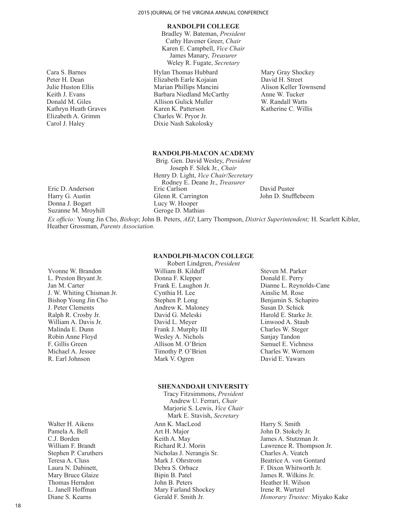#### **RANDOLPH COLLEGE**

Bradley W. Bateman, *President* Cathy Havener Greer, *Chair* Karen E. Campbell, *Vice Chair* James Manary, *Treasurer* Weley R. Fugate, *Secretary*

Hylan Thomas Hubbard Elizabeth Earle Kojaian Marian Phillips Mancini Barbara Niedland McCarthy Allison Gulick Muller Karen K. Patterson Charles W. Pryor Jr. Dixie Nash Sakolosky

Mary Gray Shockey David H. Street Alison Keller Townsend Anne W. Tucker W. Randall Watts Katherine C. Willis

## **RANDOLPH-MACON ACADEMY**

Brig. Gen. David Wesley, *President* Joseph F. Silek Jr., *Chair* Henry D. Light, *Vice Chair/Secretary*  Rodney E. Deane Jr., *Treasurer* Eric Carlson Glenn R. Carrington Lucy W. Hooper Geroge D. Mathias

David Puster John D. Stufflebeem

*Ex officio:* Young Jin Cho, *Bishop*; John B. Peters, *AEI*; Larry Thompson, *District Superintendent;* H. Scarlett Kibler, Heather Grossman, *Parents Association.*

> **RANDOLPH-MACON COLLEGE** Robert Lindgren, *President*

Yvonne W. Brandon L. Preston Bryant Jr. Jan M. Carter J. W. Whiting Chisman Jr. Bishop Young Jin Cho J. Peter Clements Ralph R. Crosby Jr. William A. Davis Jr. Malinda E. Dunn Robin Anne Floyd F. Gillis Green Michael A. Jessee R. Earl Johnson

Walter H. Aikens Pamela A. Bell C.J. Borden William F. Brandt Stephen P. Caruthers Teresa A. Cluss Laura N. Dabinett, Mary Bruce Glaize Thomas Herndon L. Janell Hoffman Diane S. Kearns

- William B. Kilduff Donna F. Klepper Frank E. Laughon Jr. Cynthia H. Lee Stephen P. Long Andrew K. Maloney David G. Meleski David L. Meyer Frank J. Murphy III Wesley A. Nichols Allison M. O'Brien Timothy P. O'Brien Mark V. Ogren
- Steven M. Parker Donald E. Perry Dianne L. Reynolds-Cane Ainslie M. Rose Benjamin S. Schapiro Susan D. Schick Harold E. Starke Jr. Linwood A. Staub Charles W. Steger Sanjay Tandon Samuel E. Vichness Charles W. Wornom David E. Yawars

#### **SHENANDOAH UNIVERSITY**

Tracy Fitzsimmons, *President* Andrew U. Ferrari, *Chair* Marjorie S. Lewis, *Vice Chair* Mark E. Stavish, *Secretary* Ann K. MacLeod Art H. Major Keith A. May Richard R.J. Morin Nicholas J. Nerangis Sr. Mark J. Ohrstrom Debra S. Orbacz Bipin B. Patel John B. Peters Mary Farland Shockey Gerald F. Smith Jr.

Harry S. Smith John D. Stokely Jr. James A. Stutzman Jr. Lawrence R. Thompson Jr. Charles A. Veatch Beatrice A. von Gontard F. Dixon Whitworth Jr. James R. Wilkins Jr. Heather H. Wilson Irene R. Wurtzel *Honorary Trustee:* Miyako Kake

Cara S. Barnes Peter H. Dean Julie Huston Ellis Keith J. Evans Donald M. Giles Kathryn Heath Graves Elizabeth A. Grimm Carol J. Haley

Eric D. Anderson Harry G. Austin Donna J. Bogart Suzanne M. Mroyhill